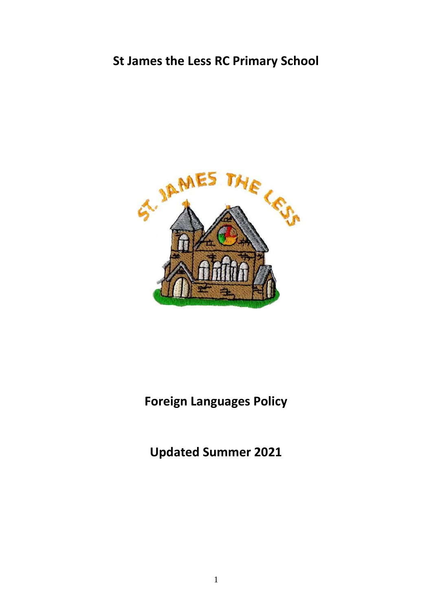# **St James the Less RC Primary School**



# **Foreign Languages Policy**

**Updated Summer 2021**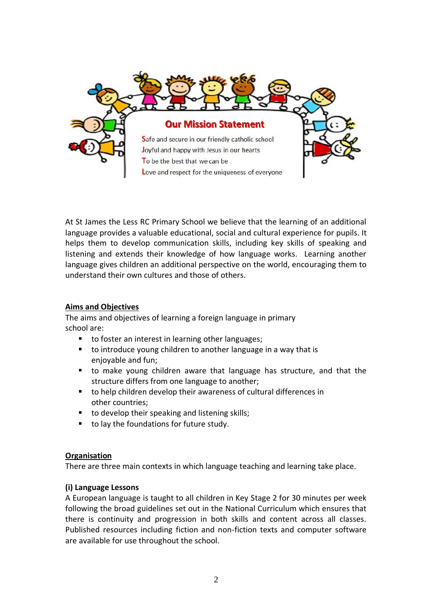

At St James the Less RC Primary School we believe that the learning of an additional language provides a valuable educational, social and cultural experience for pupils. It helps them to develop communication skills, including key skills of speaking and listening and extends their knowledge of how language works. Learning another language gives children an additional perspective on the world, encouraging them to understand their own cultures and those of others.

# **Aims and Objectives**

The aims and objectives of learning a foreign language in primary school are:

- to foster an interest in learning other languages;
- to introduce young children to another language in a way that is enjoyable and fun;
- to make young children aware that language has structure, and that the structure differs from one language to another;
- to help children develop their awareness of cultural differences in other countries;
- to develop their speaking and listening skills;
- to lay the foundations for future study.

#### **Organisation**

There are three main contexts in which language teaching and learning take place.

#### **(i) Language Lessons**

A European language is taught to all children in Key Stage 2 for 30 minutes per week following the broad guidelines set out in the National Curriculum which ensures that there is continuity and progression in both skills and content across all classes. Published resources including fiction and non-fiction texts and computer software are available for use throughout the school.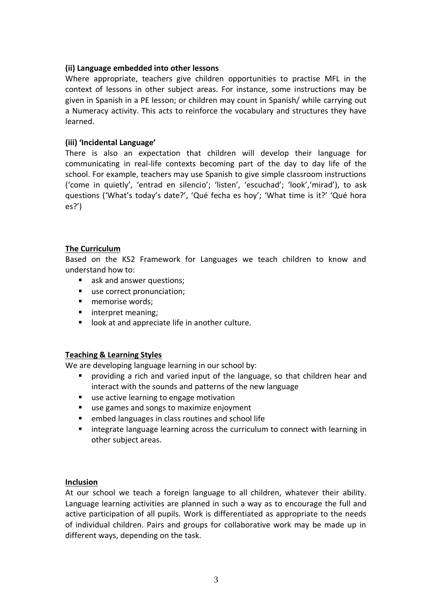#### **(ii) Language embedded into other lessons**

Where appropriate, teachers give children opportunities to practise MFL in the context of lessons in other subject areas. For instance, some instructions may be given in Spanish in a PE lesson; or children may count in Spanish/ while carrying out a Numeracy activity. This acts to reinforce the vocabulary and structures they have learned.

#### **(iii) 'Incidental Language'**

There is also an expectation that children will develop their language for communicating in real-life contexts becoming part of the day to day life of the school. For example, teachers may use Spanish to give simple classroom instructions ('come in quietly', 'entrad en silencio'; 'listen', 'escuchad'; 'look','mirad'), to ask questions ('What's today's date?', 'Qué fecha es hoy'; 'What time is it?' 'Qué hora es?')

#### **The Curriculum**

Based on the KS2 Framework for Languages we teach children to know and understand how to:

- ask and answer questions;
- use correct pronunciation;
- memorise words;
- interpret meaning;
- look at and appreciate life in another culture.

# **Teaching & Learning Styles**

We are developing language learning in our school by:

- **•** providing a rich and varied input of the language, so that children hear and interact with the sounds and patterns of the new language
- use active learning to engage motivation
- use games and songs to maximize enjoyment
- embed languages in class routines and school life
- integrate language learning across the curriculum to connect with learning in other subject areas.

#### **Inclusion**

At our school we teach a foreign language to all children, whatever their ability. Language learning activities are planned in such a way as to encourage the full and active participation of all pupils. Work is differentiated as appropriate to the needs of individual children. Pairs and groups for collaborative work may be made up in different ways, depending on the task.